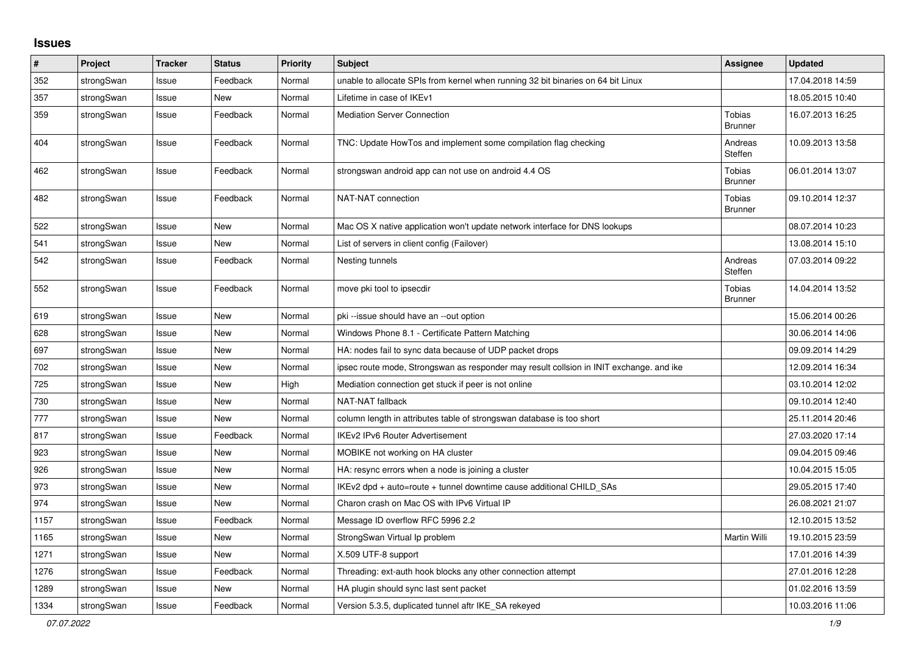## **Issues**

| $\sharp$ | Project    | <b>Tracker</b> | <b>Status</b> | <b>Priority</b> | <b>Subject</b>                                                                          | Assignee                        | <b>Updated</b>   |
|----------|------------|----------------|---------------|-----------------|-----------------------------------------------------------------------------------------|---------------------------------|------------------|
| 352      | strongSwan | Issue          | Feedback      | Normal          | unable to allocate SPIs from kernel when running 32 bit binaries on 64 bit Linux        |                                 | 17.04.2018 14:59 |
| 357      | strongSwan | Issue          | New           | Normal          | Lifetime in case of IKEv1                                                               |                                 | 18.05.2015 10:40 |
| 359      | strongSwan | Issue          | Feedback      | Normal          | <b>Mediation Server Connection</b>                                                      | Tobias<br>Brunner               | 16.07.2013 16:25 |
| 404      | strongSwan | Issue          | Feedback      | Normal          | TNC: Update HowTos and implement some compilation flag checking                         | Andreas<br>Steffen              | 10.09.2013 13:58 |
| 462      | strongSwan | Issue          | Feedback      | Normal          | strongswan android app can not use on android 4.4 OS                                    | <b>Tobias</b><br><b>Brunner</b> | 06.01.2014 13:07 |
| 482      | strongSwan | Issue          | Feedback      | Normal          | NAT-NAT connection                                                                      | Tobias<br><b>Brunner</b>        | 09.10.2014 12:37 |
| 522      | strongSwan | Issue          | <b>New</b>    | Normal          | Mac OS X native application won't update network interface for DNS lookups              |                                 | 08.07.2014 10:23 |
| 541      | strongSwan | Issue          | New           | Normal          | List of servers in client config (Failover)                                             |                                 | 13.08.2014 15:10 |
| 542      | strongSwan | Issue          | Feedback      | Normal          | Nesting tunnels                                                                         | Andreas<br>Steffen              | 07.03.2014 09:22 |
| 552      | strongSwan | Issue          | Feedback      | Normal          | move pki tool to ipsecdir                                                               | Tobias<br><b>Brunner</b>        | 14.04.2014 13:52 |
| 619      | strongSwan | Issue          | <b>New</b>    | Normal          | pki --issue should have an --out option                                                 |                                 | 15.06.2014 00:26 |
| 628      | strongSwan | Issue          | New           | Normal          | Windows Phone 8.1 - Certificate Pattern Matching                                        |                                 | 30.06.2014 14:06 |
| 697      | strongSwan | Issue          | New           | Normal          | HA: nodes fail to sync data because of UDP packet drops                                 |                                 | 09.09.2014 14:29 |
| 702      | strongSwan | Issue          | New           | Normal          | ipsec route mode, Strongswan as responder may result collsion in INIT exchange. and ike |                                 | 12.09.2014 16:34 |
| 725      | strongSwan | Issue          | New           | High            | Mediation connection get stuck if peer is not online                                    |                                 | 03.10.2014 12:02 |
| 730      | strongSwan | Issue          | New           | Normal          | <b>NAT-NAT fallback</b>                                                                 |                                 | 09.10.2014 12:40 |
| 777      | strongSwan | Issue          | <b>New</b>    | Normal          | column length in attributes table of strongswan database is too short                   |                                 | 25.11.2014 20:46 |
| 817      | strongSwan | Issue          | Feedback      | Normal          | IKEv2 IPv6 Router Advertisement                                                         |                                 | 27.03.2020 17:14 |
| 923      | strongSwan | Issue          | New           | Normal          | MOBIKE not working on HA cluster                                                        |                                 | 09.04.2015 09:46 |
| 926      | strongSwan | Issue          | <b>New</b>    | Normal          | HA: resync errors when a node is joining a cluster                                      |                                 | 10.04.2015 15:05 |
| 973      | strongSwan | Issue          | <b>New</b>    | Normal          | IKEv2 dpd + auto=route + tunnel downtime cause additional CHILD_SAs                     |                                 | 29.05.2015 17:40 |
| 974      | strongSwan | Issue          | New           | Normal          | Charon crash on Mac OS with IPv6 Virtual IP                                             |                                 | 26.08.2021 21:07 |
| 1157     | strongSwan | Issue          | Feedback      | Normal          | Message ID overflow RFC 5996 2.2                                                        |                                 | 12.10.2015 13:52 |
| 1165     | strongSwan | Issue          | <b>New</b>    | Normal          | StrongSwan Virtual Ip problem                                                           | Martin Willi                    | 19.10.2015 23:59 |
| 1271     | strongSwan | Issue          | <b>New</b>    | Normal          | X.509 UTF-8 support                                                                     |                                 | 17.01.2016 14:39 |
| 1276     | strongSwan | Issue          | Feedback      | Normal          | Threading: ext-auth hook blocks any other connection attempt                            |                                 | 27.01.2016 12:28 |
| 1289     | strongSwan | Issue          | New           | Normal          | HA plugin should sync last sent packet                                                  |                                 | 01.02.2016 13:59 |
| 1334     | strongSwan | Issue          | Feedback      | Normal          | Version 5.3.5, duplicated tunnel aftr IKE SA rekeyed                                    |                                 | 10.03.2016 11:06 |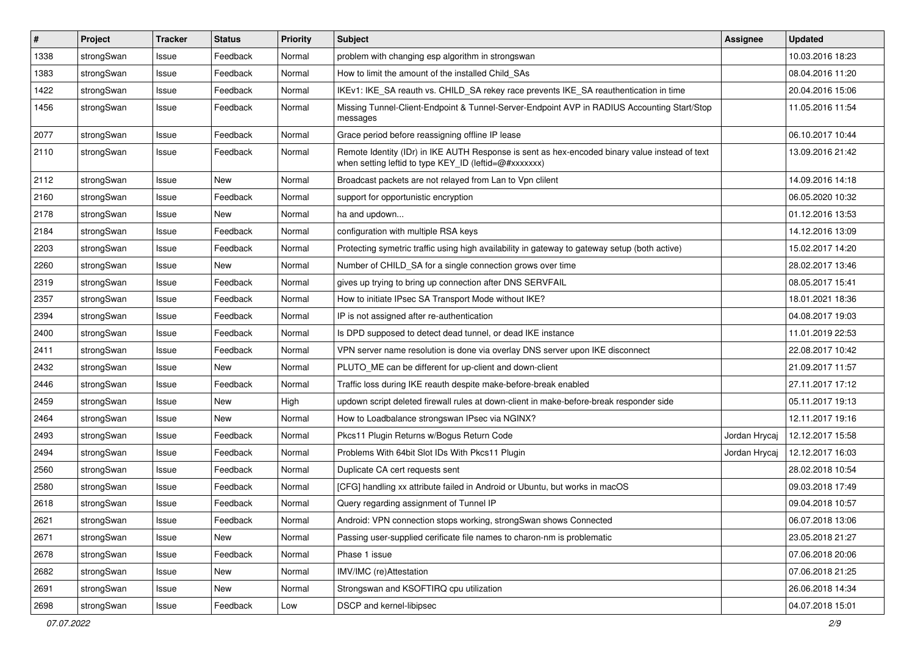| $\vert$ # | Project    | <b>Tracker</b> | <b>Status</b> | <b>Priority</b> | Subject                                                                                                                                                 | <b>Assignee</b> | <b>Updated</b>   |
|-----------|------------|----------------|---------------|-----------------|---------------------------------------------------------------------------------------------------------------------------------------------------------|-----------------|------------------|
| 1338      | strongSwan | Issue          | Feedback      | Normal          | problem with changing esp algorithm in strongswan                                                                                                       |                 | 10.03.2016 18:23 |
| 1383      | strongSwan | Issue          | Feedback      | Normal          | How to limit the amount of the installed Child_SAs                                                                                                      |                 | 08.04.2016 11:20 |
| 1422      | strongSwan | Issue          | Feedback      | Normal          | IKEv1: IKE_SA reauth vs. CHILD_SA rekey race prevents IKE_SA reauthentication in time                                                                   |                 | 20.04.2016 15:06 |
| 1456      | strongSwan | Issue          | Feedback      | Normal          | Missing Tunnel-Client-Endpoint & Tunnel-Server-Endpoint AVP in RADIUS Accounting Start/Stop<br>messages                                                 |                 | 11.05.2016 11:54 |
| 2077      | strongSwan | Issue          | Feedback      | Normal          | Grace period before reassigning offline IP lease                                                                                                        |                 | 06.10.2017 10:44 |
| 2110      | strongSwan | Issue          | Feedback      | Normal          | Remote Identity (IDr) in IKE AUTH Response is sent as hex-encoded binary value instead of text<br>when setting leftid to type KEY ID (leftid=@#xxxxxxx) |                 | 13.09.2016 21:42 |
| 2112      | strongSwan | Issue          | <b>New</b>    | Normal          | Broadcast packets are not relayed from Lan to Vpn clilent                                                                                               |                 | 14.09.2016 14:18 |
| 2160      | strongSwan | Issue          | Feedback      | Normal          | support for opportunistic encryption                                                                                                                    |                 | 06.05.2020 10:32 |
| 2178      | strongSwan | Issue          | New           | Normal          | ha and updown                                                                                                                                           |                 | 01.12.2016 13:53 |
| 2184      | strongSwan | Issue          | Feedback      | Normal          | configuration with multiple RSA keys                                                                                                                    |                 | 14.12.2016 13:09 |
| 2203      | strongSwan | Issue          | Feedback      | Normal          | Protecting symetric traffic using high availability in gateway to gateway setup (both active)                                                           |                 | 15.02.2017 14:20 |
| 2260      | strongSwan | Issue          | New           | Normal          | Number of CHILD SA for a single connection grows over time                                                                                              |                 | 28.02.2017 13:46 |
| 2319      | strongSwan | Issue          | Feedback      | Normal          | gives up trying to bring up connection after DNS SERVFAIL                                                                                               |                 | 08.05.2017 15:41 |
| 2357      | strongSwan | Issue          | Feedback      | Normal          | How to initiate IPsec SA Transport Mode without IKE?                                                                                                    |                 | 18.01.2021 18:36 |
| 2394      | strongSwan | Issue          | Feedback      | Normal          | IP is not assigned after re-authentication                                                                                                              |                 | 04.08.2017 19:03 |
| 2400      | strongSwan | Issue          | Feedback      | Normal          | Is DPD supposed to detect dead tunnel, or dead IKE instance                                                                                             |                 | 11.01.2019 22:53 |
| 2411      | strongSwan | Issue          | Feedback      | Normal          | VPN server name resolution is done via overlay DNS server upon IKE disconnect                                                                           |                 | 22.08.2017 10:42 |
| 2432      | strongSwan | Issue          | New           | Normal          | PLUTO_ME can be different for up-client and down-client                                                                                                 |                 | 21.09.2017 11:57 |
| 2446      | strongSwan | Issue          | Feedback      | Normal          | Traffic loss during IKE reauth despite make-before-break enabled                                                                                        |                 | 27.11.2017 17:12 |
| 2459      | strongSwan | Issue          | New           | High            | updown script deleted firewall rules at down-client in make-before-break responder side                                                                 |                 | 05.11.2017 19:13 |
| 2464      | strongSwan | Issue          | New           | Normal          | How to Loadbalance strongswan IPsec via NGINX?                                                                                                          |                 | 12.11.2017 19:16 |
| 2493      | strongSwan | Issue          | Feedback      | Normal          | Pkcs11 Plugin Returns w/Bogus Return Code                                                                                                               | Jordan Hrycaj   | 12.12.2017 15:58 |
| 2494      | strongSwan | Issue          | Feedback      | Normal          | Problems With 64bit Slot IDs With Pkcs11 Plugin                                                                                                         | Jordan Hrycaj   | 12.12.2017 16:03 |
| 2560      | strongSwan | Issue          | Feedback      | Normal          | Duplicate CA cert requests sent                                                                                                                         |                 | 28.02.2018 10:54 |
| 2580      | strongSwan | Issue          | Feedback      | Normal          | [CFG] handling xx attribute failed in Android or Ubuntu, but works in macOS                                                                             |                 | 09.03.2018 17:49 |
| 2618      | strongSwan | Issue          | Feedback      | Normal          | Query regarding assignment of Tunnel IP                                                                                                                 |                 | 09.04.2018 10:57 |
| 2621      | strongSwan | Issue          | Feedback      | Normal          | Android: VPN connection stops working, strongSwan shows Connected                                                                                       |                 | 06.07.2018 13:06 |
| 2671      | strongSwan | Issue          | New           | Normal          | Passing user-supplied cerificate file names to charon-nm is problematic                                                                                 |                 | 23.05.2018 21:27 |
| 2678      | strongSwan | Issue          | Feedback      | Normal          | Phase 1 issue                                                                                                                                           |                 | 07.06.2018 20:06 |
| 2682      | strongSwan | Issue          | New           | Normal          | IMV/IMC (re)Attestation                                                                                                                                 |                 | 07.06.2018 21:25 |
| 2691      | strongSwan | Issue          | New           | Normal          | Strongswan and KSOFTIRQ cpu utilization                                                                                                                 |                 | 26.06.2018 14:34 |
| 2698      | strongSwan | Issue          | Feedback      | Low             | DSCP and kernel-libipsec                                                                                                                                |                 | 04.07.2018 15:01 |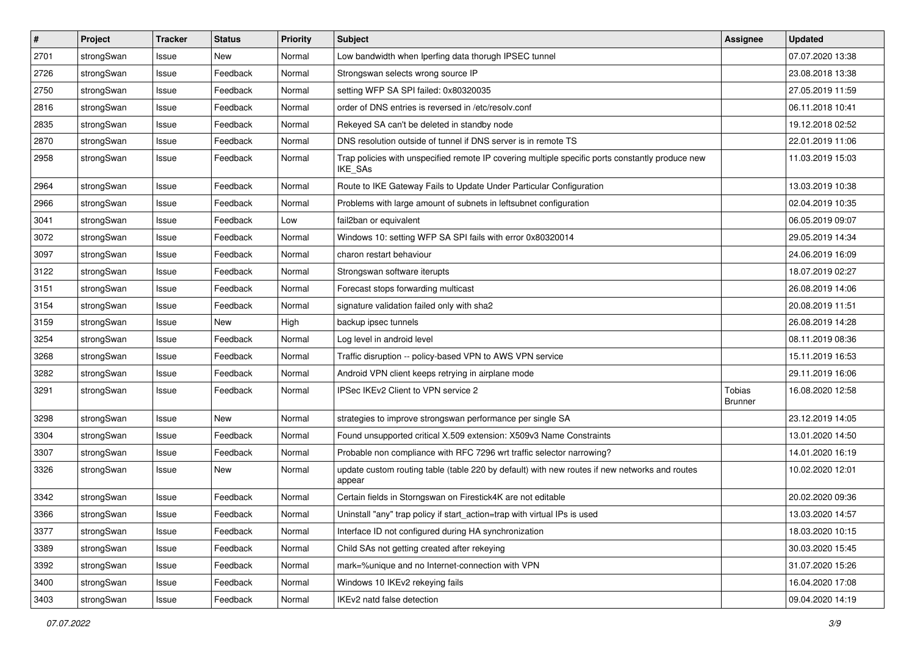| $\sharp$ | Project    | <b>Tracker</b> | <b>Status</b> | <b>Priority</b> | <b>Subject</b>                                                                                                     | <b>Assignee</b>          | <b>Updated</b>   |
|----------|------------|----------------|---------------|-----------------|--------------------------------------------------------------------------------------------------------------------|--------------------------|------------------|
| 2701     | strongSwan | Issue          | New           | Normal          | Low bandwidth when Iperfing data thorugh IPSEC tunnel                                                              |                          | 07.07.2020 13:38 |
| 2726     | strongSwan | Issue          | Feedback      | Normal          | Strongswan selects wrong source IP                                                                                 |                          | 23.08.2018 13:38 |
| 2750     | strongSwan | Issue          | Feedback      | Normal          | setting WFP SA SPI failed: 0x80320035                                                                              |                          | 27.05.2019 11:59 |
| 2816     | strongSwan | Issue          | Feedback      | Normal          | order of DNS entries is reversed in /etc/resolv.conf                                                               |                          | 06.11.2018 10:41 |
| 2835     | strongSwan | Issue          | Feedback      | Normal          | Rekeyed SA can't be deleted in standby node                                                                        |                          | 19.12.2018 02:52 |
| 2870     | strongSwan | Issue          | Feedback      | Normal          | DNS resolution outside of tunnel if DNS server is in remote TS                                                     |                          | 22.01.2019 11:06 |
| 2958     | strongSwan | Issue          | Feedback      | Normal          | Trap policies with unspecified remote IP covering multiple specific ports constantly produce new<br><b>IKE SAs</b> |                          | 11.03.2019 15:03 |
| 2964     | strongSwan | Issue          | Feedback      | Normal          | Route to IKE Gateway Fails to Update Under Particular Configuration                                                |                          | 13.03.2019 10:38 |
| 2966     | strongSwan | Issue          | Feedback      | Normal          | Problems with large amount of subnets in leftsubnet configuration                                                  |                          | 02.04.2019 10:35 |
| 3041     | strongSwan | Issue          | Feedback      | Low             | fail2ban or equivalent                                                                                             |                          | 06.05.2019 09:07 |
| 3072     | strongSwan | Issue          | Feedback      | Normal          | Windows 10: setting WFP SA SPI fails with error 0x80320014                                                         |                          | 29.05.2019 14:34 |
| 3097     | strongSwan | Issue          | Feedback      | Normal          | charon restart behaviour                                                                                           |                          | 24.06.2019 16:09 |
| 3122     | strongSwan | Issue          | Feedback      | Normal          | Strongswan software iterupts                                                                                       |                          | 18.07.2019 02:27 |
| 3151     | strongSwan | Issue          | Feedback      | Normal          | Forecast stops forwarding multicast                                                                                |                          | 26.08.2019 14:06 |
| 3154     | strongSwan | Issue          | Feedback      | Normal          | signature validation failed only with sha2                                                                         |                          | 20.08.2019 11:51 |
| 3159     | strongSwan | Issue          | New           | High            | backup ipsec tunnels                                                                                               |                          | 26.08.2019 14:28 |
| 3254     | strongSwan | Issue          | Feedback      | Normal          | Log level in android level                                                                                         |                          | 08.11.2019 08:36 |
| 3268     | strongSwan | Issue          | Feedback      | Normal          | Traffic disruption -- policy-based VPN to AWS VPN service                                                          |                          | 15.11.2019 16:53 |
| 3282     | strongSwan | Issue          | Feedback      | Normal          | Android VPN client keeps retrying in airplane mode                                                                 |                          | 29.11.2019 16:06 |
| 3291     | strongSwan | Issue          | Feedback      | Normal          | IPSec IKEv2 Client to VPN service 2                                                                                | Tobias<br><b>Brunner</b> | 16.08.2020 12:58 |
| 3298     | strongSwan | Issue          | New           | Normal          | strategies to improve strongswan performance per single SA                                                         |                          | 23.12.2019 14:05 |
| 3304     | strongSwan | Issue          | Feedback      | Normal          | Found unsupported critical X.509 extension: X509v3 Name Constraints                                                |                          | 13.01.2020 14:50 |
| 3307     | strongSwan | Issue          | Feedback      | Normal          | Probable non compliance with RFC 7296 wrt traffic selector narrowing?                                              |                          | 14.01.2020 16:19 |
| 3326     | strongSwan | Issue          | <b>New</b>    | Normal          | update custom routing table (table 220 by default) with new routes if new networks and routes<br>appear            |                          | 10.02.2020 12:01 |
| 3342     | strongSwan | Issue          | Feedback      | Normal          | Certain fields in Storngswan on Firestick4K are not editable                                                       |                          | 20.02.2020 09:36 |
| 3366     | strongSwan | Issue          | Feedback      | Normal          | Uninstall "any" trap policy if start_action=trap with virtual IPs is used                                          |                          | 13.03.2020 14:57 |
| 3377     | strongSwan | Issue          | Feedback      | Normal          | Interface ID not configured during HA synchronization                                                              |                          | 18.03.2020 10:15 |
| 3389     | strongSwan | Issue          | Feedback      | Normal          | Child SAs not getting created after rekeying                                                                       |                          | 30.03.2020 15:45 |
| 3392     | strongSwan | Issue          | Feedback      | Normal          | mark=%unique and no Internet-connection with VPN                                                                   |                          | 31.07.2020 15:26 |
| 3400     | strongSwan | Issue          | Feedback      | Normal          | Windows 10 IKEv2 rekeying fails                                                                                    |                          | 16.04.2020 17:08 |
| 3403     | strongSwan | Issue          | Feedback      | Normal          | IKEv2 natd false detection                                                                                         |                          | 09.04.2020 14:19 |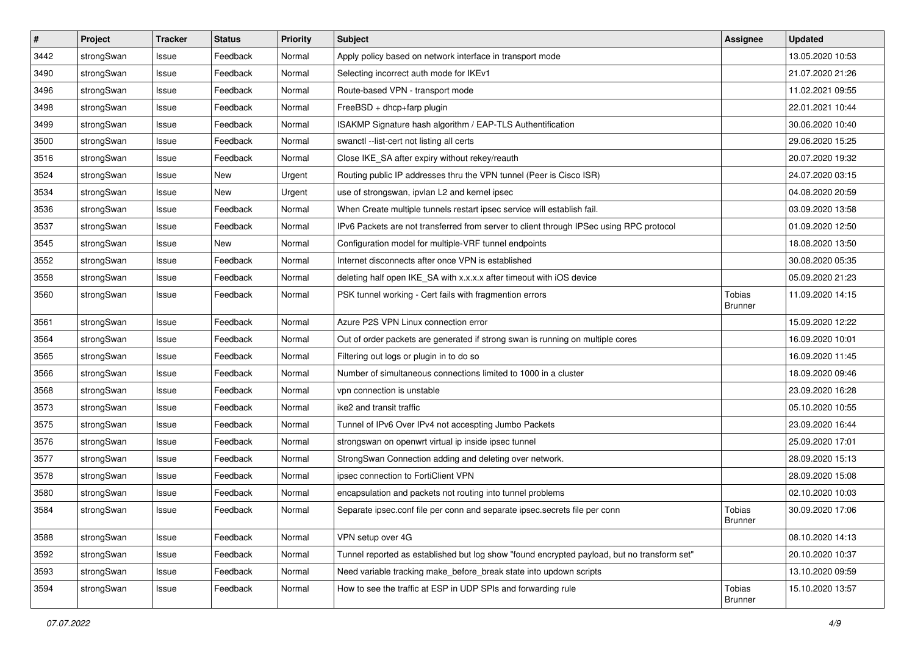| $\sharp$ | Project    | <b>Tracker</b> | <b>Status</b> | <b>Priority</b> | <b>Subject</b>                                                                              | Assignee                 | <b>Updated</b>   |
|----------|------------|----------------|---------------|-----------------|---------------------------------------------------------------------------------------------|--------------------------|------------------|
| 3442     | strongSwan | Issue          | Feedback      | Normal          | Apply policy based on network interface in transport mode                                   |                          | 13.05.2020 10:53 |
| 3490     | strongSwan | Issue          | Feedback      | Normal          | Selecting incorrect auth mode for IKEv1                                                     |                          | 21.07.2020 21:26 |
| 3496     | strongSwan | Issue          | Feedback      | Normal          | Route-based VPN - transport mode                                                            |                          | 11.02.2021 09:55 |
| 3498     | strongSwan | Issue          | Feedback      | Normal          | FreeBSD + dhcp+farp plugin                                                                  |                          | 22.01.2021 10:44 |
| 3499     | strongSwan | Issue          | Feedback      | Normal          | ISAKMP Signature hash algorithm / EAP-TLS Authentification                                  |                          | 30.06.2020 10:40 |
| 3500     | strongSwan | Issue          | Feedback      | Normal          | swanctl --list-cert not listing all certs                                                   |                          | 29.06.2020 15:25 |
| 3516     | strongSwan | Issue          | Feedback      | Normal          | Close IKE_SA after expiry without rekey/reauth                                              |                          | 20.07.2020 19:32 |
| 3524     | strongSwan | Issue          | New           | Urgent          | Routing public IP addresses thru the VPN tunnel (Peer is Cisco ISR)                         |                          | 24.07.2020 03:15 |
| 3534     | strongSwan | Issue          | New           | Urgent          | use of strongswan, ipvlan L2 and kernel ipsec                                               |                          | 04.08.2020 20:59 |
| 3536     | strongSwan | Issue          | Feedback      | Normal          | When Create multiple tunnels restart ipsec service will establish fail.                     |                          | 03.09.2020 13:58 |
| 3537     | strongSwan | Issue          | Feedback      | Normal          | IPv6 Packets are not transferred from server to client through IPSec using RPC protocol     |                          | 01.09.2020 12:50 |
| 3545     | strongSwan | Issue          | New           | Normal          | Configuration model for multiple-VRF tunnel endpoints                                       |                          | 18.08.2020 13:50 |
| 3552     | strongSwan | Issue          | Feedback      | Normal          | Internet disconnects after once VPN is established                                          |                          | 30.08.2020 05:35 |
| 3558     | strongSwan | Issue          | Feedback      | Normal          | deleting half open IKE_SA with x.x.x.x after timeout with iOS device                        |                          | 05.09.2020 21:23 |
| 3560     | strongSwan | Issue          | Feedback      | Normal          | PSK tunnel working - Cert fails with fragmention errors                                     | Tobias<br><b>Brunner</b> | 11.09.2020 14:15 |
| 3561     | strongSwan | Issue          | Feedback      | Normal          | Azure P2S VPN Linux connection error                                                        |                          | 15.09.2020 12:22 |
| 3564     | strongSwan | Issue          | Feedback      | Normal          | Out of order packets are generated if strong swan is running on multiple cores              |                          | 16.09.2020 10:01 |
| 3565     | strongSwan | Issue          | Feedback      | Normal          | Filtering out logs or plugin in to do so                                                    |                          | 16.09.2020 11:45 |
| 3566     | strongSwan | Issue          | Feedback      | Normal          | Number of simultaneous connections limited to 1000 in a cluster                             |                          | 18.09.2020 09:46 |
| 3568     | strongSwan | Issue          | Feedback      | Normal          | vpn connection is unstable                                                                  |                          | 23.09.2020 16:28 |
| 3573     | strongSwan | Issue          | Feedback      | Normal          | ike2 and transit traffic                                                                    |                          | 05.10.2020 10:55 |
| 3575     | strongSwan | Issue          | Feedback      | Normal          | Tunnel of IPv6 Over IPv4 not accespting Jumbo Packets                                       |                          | 23.09.2020 16:44 |
| 3576     | strongSwan | Issue          | Feedback      | Normal          | strongswan on openwrt virtual ip inside ipsec tunnel                                        |                          | 25.09.2020 17:01 |
| 3577     | strongSwan | Issue          | Feedback      | Normal          | StrongSwan Connection adding and deleting over network.                                     |                          | 28.09.2020 15:13 |
| 3578     | strongSwan | Issue          | Feedback      | Normal          | ipsec connection to FortiClient VPN                                                         |                          | 28.09.2020 15:08 |
| 3580     | strongSwan | Issue          | Feedback      | Normal          | encapsulation and packets not routing into tunnel problems                                  |                          | 02.10.2020 10:03 |
| 3584     | strongSwan | Issue          | Feedback      | Normal          | Separate ipsec.conf file per conn and separate ipsec.secrets file per conn                  | Tobias<br>Brunner        | 30.09.2020 17:06 |
| 3588     | strongSwan | Issue          | Feedback      | Normal          | VPN setup over 4G                                                                           |                          | 08.10.2020 14:13 |
| 3592     | strongSwan | Issue          | Feedback      | Normal          | Tunnel reported as established but log show "found encrypted payload, but no transform set" |                          | 20.10.2020 10:37 |
| 3593     | strongSwan | Issue          | Feedback      | Normal          | Need variable tracking make_before_break state into updown scripts                          |                          | 13.10.2020 09:59 |
| 3594     | strongSwan | Issue          | Feedback      | Normal          | How to see the traffic at ESP in UDP SPIs and forwarding rule                               | Tobias<br>Brunner        | 15.10.2020 13:57 |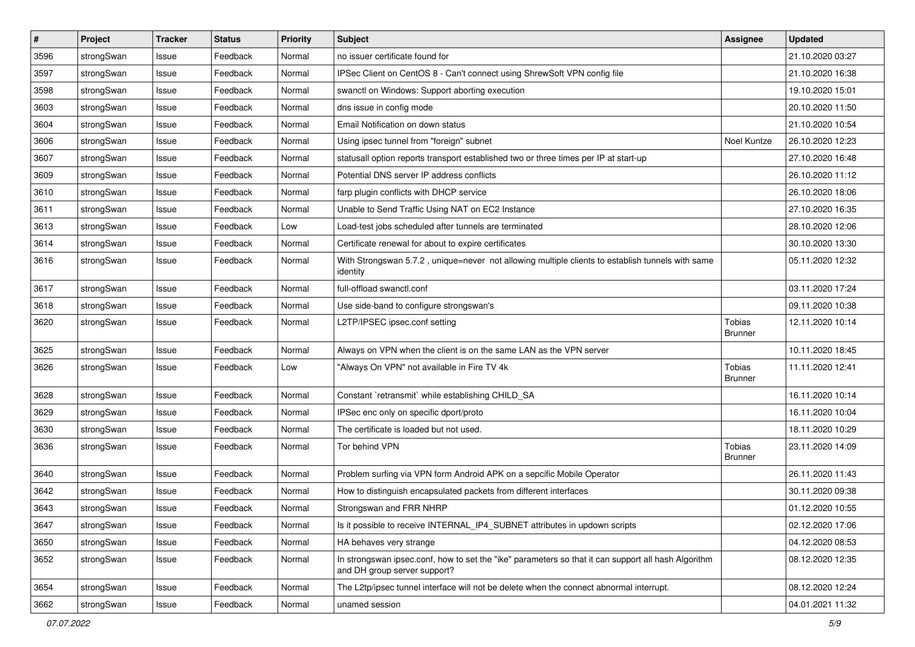| $\sharp$ | Project    | <b>Tracker</b> | <b>Status</b> | <b>Priority</b> | <b>Subject</b>                                                                                                                      | Assignee                 | <b>Updated</b>   |
|----------|------------|----------------|---------------|-----------------|-------------------------------------------------------------------------------------------------------------------------------------|--------------------------|------------------|
| 3596     | strongSwan | Issue          | Feedback      | Normal          | no issuer certificate found for                                                                                                     |                          | 21.10.2020 03:27 |
| 3597     | strongSwan | Issue          | Feedback      | Normal          | IPSec Client on CentOS 8 - Can't connect using ShrewSoft VPN config file                                                            |                          | 21.10.2020 16:38 |
| 3598     | strongSwan | Issue          | Feedback      | Normal          | swanctl on Windows: Support aborting execution                                                                                      |                          | 19.10.2020 15:01 |
| 3603     | strongSwan | Issue          | Feedback      | Normal          | dns issue in config mode                                                                                                            |                          | 20.10.2020 11:50 |
| 3604     | strongSwan | Issue          | Feedback      | Normal          | Email Notification on down status                                                                                                   |                          | 21.10.2020 10:54 |
| 3606     | strongSwan | Issue          | Feedback      | Normal          | Using ipsec tunnel from "foreign" subnet                                                                                            | Noel Kuntze              | 26.10.2020 12:23 |
| 3607     | strongSwan | Issue          | Feedback      | Normal          | statusall option reports transport established two or three times per IP at start-up                                                |                          | 27.10.2020 16:48 |
| 3609     | strongSwan | Issue          | Feedback      | Normal          | Potential DNS server IP address conflicts                                                                                           |                          | 26.10.2020 11:12 |
| 3610     | strongSwan | Issue          | Feedback      | Normal          | farp plugin conflicts with DHCP service                                                                                             |                          | 26.10.2020 18:06 |
| 3611     | strongSwan | Issue          | Feedback      | Normal          | Unable to Send Traffic Using NAT on EC2 Instance                                                                                    |                          | 27.10.2020 16:35 |
| 3613     | strongSwan | Issue          | Feedback      | Low             | Load-test jobs scheduled after tunnels are terminated                                                                               |                          | 28.10.2020 12:06 |
| 3614     | strongSwan | Issue          | Feedback      | Normal          | Certificate renewal for about to expire certificates                                                                                |                          | 30.10.2020 13:30 |
| 3616     | strongSwan | Issue          | Feedback      | Normal          | With Strongswan 5.7.2, unique=never not allowing multiple clients to establish tunnels with same<br>identity                        |                          | 05.11.2020 12:32 |
| 3617     | strongSwan | Issue          | Feedback      | Normal          | full-offload swanctl.conf                                                                                                           |                          | 03.11.2020 17:24 |
| 3618     | strongSwan | Issue          | Feedback      | Normal          | Use side-band to configure strongswan's                                                                                             |                          | 09.11.2020 10:38 |
| 3620     | strongSwan | Issue          | Feedback      | Normal          | L2TP/IPSEC ipsec.conf setting                                                                                                       | Tobias<br>Brunner        | 12.11.2020 10:14 |
| 3625     | strongSwan | Issue          | Feedback      | Normal          | Always on VPN when the client is on the same LAN as the VPN server                                                                  |                          | 10.11.2020 18:45 |
| 3626     | strongSwan | Issue          | Feedback      | Low             | "Always On VPN" not available in Fire TV 4k                                                                                         | Tobias<br><b>Brunner</b> | 11.11.2020 12:41 |
| 3628     | strongSwan | Issue          | Feedback      | Normal          | Constant `retransmit` while establishing CHILD_SA                                                                                   |                          | 16.11.2020 10:14 |
| 3629     | strongSwan | Issue          | Feedback      | Normal          | IPSec enc only on specific dport/proto                                                                                              |                          | 16.11.2020 10:04 |
| 3630     | strongSwan | Issue          | Feedback      | Normal          | The certificate is loaded but not used.                                                                                             |                          | 18.11.2020 10:29 |
| 3636     | strongSwan | Issue          | Feedback      | Normal          | Tor behind VPN                                                                                                                      | Tobias<br><b>Brunner</b> | 23.11.2020 14:09 |
| 3640     | strongSwan | Issue          | Feedback      | Normal          | Problem surfing via VPN form Android APK on a sepcific Mobile Operator                                                              |                          | 26.11.2020 11:43 |
| 3642     | strongSwan | Issue          | Feedback      | Normal          | How to distinguish encapsulated packets from different interfaces                                                                   |                          | 30.11.2020 09:38 |
| 3643     | strongSwan | Issue          | Feedback      | Normal          | Strongswan and FRR NHRP                                                                                                             |                          | 01.12.2020 10:55 |
| 3647     | strongSwan | Issue          | Feedback      | Normal          | Is it possible to receive INTERNAL IP4 SUBNET attributes in updown scripts                                                          |                          | 02.12.2020 17:06 |
| 3650     | strongSwan | Issue          | Feedback      | Normal          | HA behaves very strange                                                                                                             |                          | 04.12.2020 08:53 |
| 3652     | strongSwan | Issue          | Feedback      | Normal          | In strongswan ipsec.conf, how to set the "ike" parameters so that it can support all hash Algorithm<br>and DH group server support? |                          | 08.12.2020 12:35 |
| 3654     | strongSwan | Issue          | Feedback      | Normal          | The L2tp/ipsec tunnel interface will not be delete when the connect abnormal interrupt.                                             |                          | 08.12.2020 12:24 |
| 3662     | strongSwan | Issue          | Feedback      | Normal          | unamed session                                                                                                                      |                          | 04.01.2021 11:32 |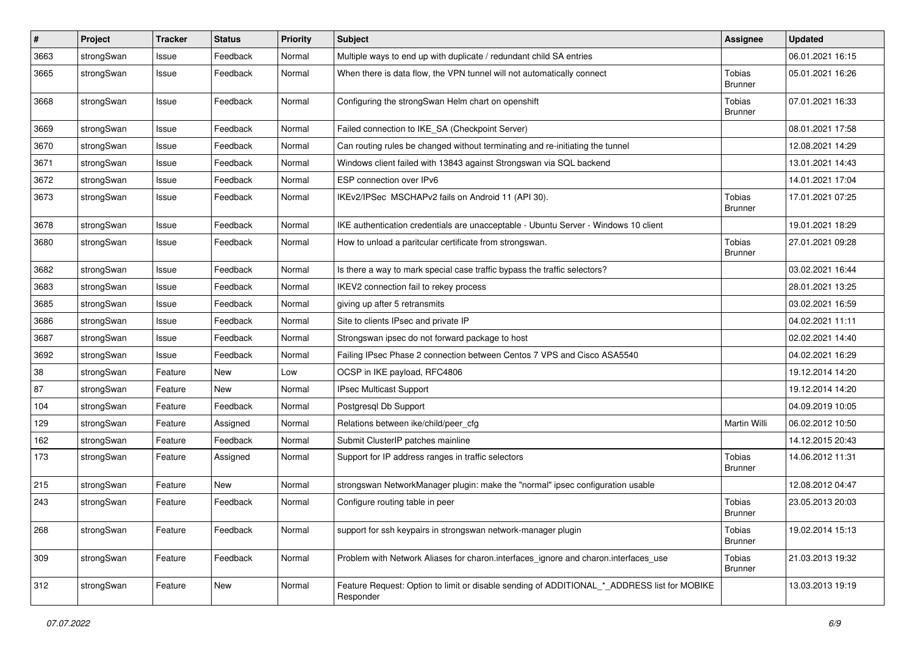| $\vert$ # | Project    | <b>Tracker</b> | <b>Status</b> | <b>Priority</b> | <b>Subject</b>                                                                                           | <b>Assignee</b>                 | <b>Updated</b>   |
|-----------|------------|----------------|---------------|-----------------|----------------------------------------------------------------------------------------------------------|---------------------------------|------------------|
| 3663      | strongSwan | Issue          | Feedback      | Normal          | Multiple ways to end up with duplicate / redundant child SA entries                                      |                                 | 06.01.2021 16:15 |
| 3665      | strongSwan | Issue          | Feedback      | Normal          | When there is data flow, the VPN tunnel will not automatically connect                                   | Tobias<br><b>Brunner</b>        | 05.01.2021 16:26 |
| 3668      | strongSwan | Issue          | Feedback      | Normal          | Configuring the strongSwan Helm chart on openshift                                                       | Tobias<br><b>Brunner</b>        | 07.01.2021 16:33 |
| 3669      | strongSwan | Issue          | Feedback      | Normal          | Failed connection to IKE_SA (Checkpoint Server)                                                          |                                 | 08.01.2021 17:58 |
| 3670      | strongSwan | Issue          | Feedback      | Normal          | Can routing rules be changed without terminating and re-initiating the tunnel                            |                                 | 12.08.2021 14:29 |
| 3671      | strongSwan | Issue          | Feedback      | Normal          | Windows client failed with 13843 against Strongswan via SQL backend                                      |                                 | 13.01.2021 14:43 |
| 3672      | strongSwan | Issue          | Feedback      | Normal          | ESP connection over IPv6                                                                                 |                                 | 14.01.2021 17:04 |
| 3673      | strongSwan | Issue          | Feedback      | Normal          | IKEv2/IPSec MSCHAPv2 fails on Android 11 (API 30).                                                       | Tobias<br><b>Brunner</b>        | 17.01.2021 07:25 |
| 3678      | strongSwan | Issue          | Feedback      | Normal          | IKE authentication credentials are unacceptable - Ubuntu Server - Windows 10 client                      |                                 | 19.01.2021 18:29 |
| 3680      | strongSwan | Issue          | Feedback      | Normal          | How to unload a paritcular certificate from strongswan.                                                  | Tobias<br><b>Brunner</b>        | 27.01.2021 09:28 |
| 3682      | strongSwan | Issue          | Feedback      | Normal          | Is there a way to mark special case traffic bypass the traffic selectors?                                |                                 | 03.02.2021 16:44 |
| 3683      | strongSwan | Issue          | Feedback      | Normal          | IKEV2 connection fail to rekey process                                                                   |                                 | 28.01.2021 13:25 |
| 3685      | strongSwan | Issue          | Feedback      | Normal          | giving up after 5 retransmits                                                                            |                                 | 03.02.2021 16:59 |
| 3686      | strongSwan | Issue          | Feedback      | Normal          | Site to clients IPsec and private IP                                                                     |                                 | 04.02.2021 11:11 |
| 3687      | strongSwan | Issue          | Feedback      | Normal          | Strongswan ipsec do not forward package to host                                                          |                                 | 02.02.2021 14:40 |
| 3692      | strongSwan | Issue          | Feedback      | Normal          | Failing IPsec Phase 2 connection between Centos 7 VPS and Cisco ASA5540                                  |                                 | 04.02.2021 16:29 |
| 38        | strongSwan | Feature        | New           | Low             | OCSP in IKE payload, RFC4806                                                                             |                                 | 19.12.2014 14:20 |
| 87        | strongSwan | Feature        | New           | Normal          | IPsec Multicast Support                                                                                  |                                 | 19.12.2014 14:20 |
| 104       | strongSwan | Feature        | Feedback      | Normal          | Postgresql Db Support                                                                                    |                                 | 04.09.2019 10:05 |
| 129       | strongSwan | Feature        | Assigned      | Normal          | Relations between ike/child/peer_cfg                                                                     | <b>Martin Willi</b>             | 06.02.2012 10:50 |
| 162       | strongSwan | Feature        | Feedback      | Normal          | Submit ClusterIP patches mainline                                                                        |                                 | 14.12.2015 20:43 |
| 173       | strongSwan | Feature        | Assigned      | Normal          | Support for IP address ranges in traffic selectors                                                       | Tobias<br><b>Brunner</b>        | 14.06.2012 11:31 |
| 215       | strongSwan | Feature        | New           | Normal          | strongswan NetworkManager plugin: make the "normal" ipsec configuration usable                           |                                 | 12.08.2012 04:47 |
| 243       | strongSwan | Feature        | Feedback      | Normal          | Configure routing table in peer                                                                          | Tobias<br><b>Brunner</b>        | 23.05.2013 20:03 |
| 268       | strongSwan | Feature        | Feedback      | Normal          | support for ssh keypairs in strongswan network-manager plugin                                            | Tobias<br><b>Brunner</b>        | 19.02.2014 15:13 |
| 309       | strongSwan | Feature        | Feedback      | Normal          | Problem with Network Aliases for charon.interfaces_ignore and charon.interfaces_use                      | <b>Tobias</b><br><b>Brunner</b> | 21.03.2013 19:32 |
| 312       | strongSwan | Feature        | New           | Normal          | Feature Request: Option to limit or disable sending of ADDITIONAL * ADDRESS list for MOBIKE<br>Responder |                                 | 13.03.2013 19:19 |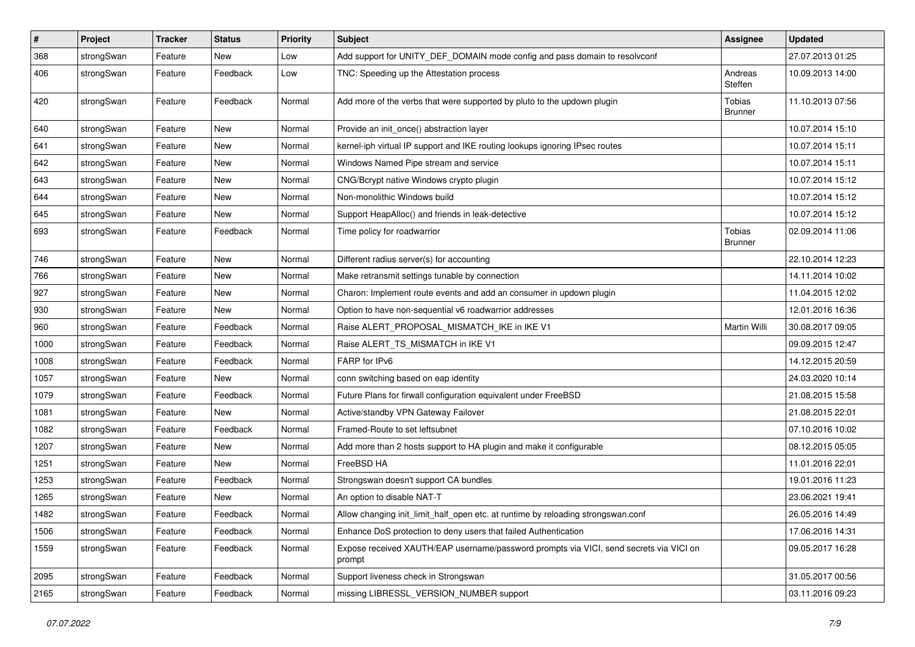| $\sharp$ | Project    | <b>Tracker</b> | <b>Status</b> | <b>Priority</b> | <b>Subject</b>                                                                                   | <b>Assignee</b>          | <b>Updated</b>   |
|----------|------------|----------------|---------------|-----------------|--------------------------------------------------------------------------------------------------|--------------------------|------------------|
| 368      | strongSwan | Feature        | New           | Low             | Add support for UNITY_DEF_DOMAIN mode config and pass domain to resolvconf                       |                          | 27.07.2013 01:25 |
| 406      | strongSwan | Feature        | Feedback      | Low             | TNC: Speeding up the Attestation process                                                         | Andreas<br>Steffen       | 10.09.2013 14:00 |
| 420      | strongSwan | Feature        | Feedback      | Normal          | Add more of the verbs that were supported by pluto to the updown plugin                          | Tobias<br><b>Brunner</b> | 11.10.2013 07:56 |
| 640      | strongSwan | Feature        | <b>New</b>    | Normal          | Provide an init_once() abstraction layer                                                         |                          | 10.07.2014 15:10 |
| 641      | strongSwan | Feature        | <b>New</b>    | Normal          | kernel-iph virtual IP support and IKE routing lookups ignoring IPsec routes                      |                          | 10.07.2014 15:11 |
| 642      | strongSwan | Feature        | <b>New</b>    | Normal          | Windows Named Pipe stream and service                                                            |                          | 10.07.2014 15:11 |
| 643      | strongSwan | Feature        | New           | Normal          | CNG/Bcrypt native Windows crypto plugin                                                          |                          | 10.07.2014 15:12 |
| 644      | strongSwan | Feature        | New           | Normal          | Non-monolithic Windows build                                                                     |                          | 10.07.2014 15:12 |
| 645      | strongSwan | Feature        | New           | Normal          | Support HeapAlloc() and friends in leak-detective                                                |                          | 10.07.2014 15:12 |
| 693      | strongSwan | Feature        | Feedback      | Normal          | Time policy for roadwarrior                                                                      | Tobias<br><b>Brunner</b> | 02.09.2014 11:06 |
| 746      | strongSwan | Feature        | <b>New</b>    | Normal          | Different radius server(s) for accounting                                                        |                          | 22.10.2014 12:23 |
| 766      | strongSwan | Feature        | <b>New</b>    | Normal          | Make retransmit settings tunable by connection                                                   |                          | 14.11.2014 10:02 |
| 927      | strongSwan | Feature        | New           | Normal          | Charon: Implement route events and add an consumer in updown plugin                              |                          | 11.04.2015 12:02 |
| 930      | strongSwan | Feature        | <b>New</b>    | Normal          | Option to have non-sequential v6 roadwarrior addresses                                           |                          | 12.01.2016 16:36 |
| 960      | strongSwan | Feature        | Feedback      | Normal          | Raise ALERT_PROPOSAL_MISMATCH_IKE in IKE V1                                                      | <b>Martin Willi</b>      | 30.08.2017 09:05 |
| 1000     | strongSwan | Feature        | Feedback      | Normal          | Raise ALERT_TS_MISMATCH in IKE V1                                                                |                          | 09.09.2015 12:47 |
| 1008     | strongSwan | Feature        | Feedback      | Normal          | FARP for IPv6                                                                                    |                          | 14.12.2015 20:59 |
| 1057     | strongSwan | Feature        | New           | Normal          | conn switching based on eap identity                                                             |                          | 24.03.2020 10:14 |
| 1079     | strongSwan | Feature        | Feedback      | Normal          | Future Plans for firwall configuration equivalent under FreeBSD                                  |                          | 21.08.2015 15:58 |
| 1081     | strongSwan | Feature        | New           | Normal          | Active/standby VPN Gateway Failover                                                              |                          | 21.08.2015 22:01 |
| 1082     | strongSwan | Feature        | Feedback      | Normal          | Framed-Route to set leftsubnet                                                                   |                          | 07.10.2016 10:02 |
| 1207     | strongSwan | Feature        | New           | Normal          | Add more than 2 hosts support to HA plugin and make it configurable                              |                          | 08.12.2015 05:05 |
| 1251     | strongSwan | Feature        | <b>New</b>    | Normal          | FreeBSD HA                                                                                       |                          | 11.01.2016 22:01 |
| 1253     | strongSwan | Feature        | Feedback      | Normal          | Strongswan doesn't support CA bundles                                                            |                          | 19.01.2016 11:23 |
| 1265     | strongSwan | Feature        | New           | Normal          | An option to disable NAT-T                                                                       |                          | 23.06.2021 19:41 |
| 1482     | strongSwan | Feature        | Feedback      | Normal          | Allow changing init_limit_half_open etc. at runtime by reloading strongswan.conf                 |                          | 26.05.2016 14:49 |
| 1506     | strongSwan | Feature        | Feedback      | Normal          | Enhance DoS protection to deny users that failed Authentication                                  |                          | 17.06.2016 14:31 |
| 1559     | strongSwan | Feature        | Feedback      | Normal          | Expose received XAUTH/EAP username/password prompts via VICI, send secrets via VICI on<br>prompt |                          | 09.05.2017 16:28 |
| 2095     | strongSwan | Feature        | Feedback      | Normal          | Support liveness check in Strongswan                                                             |                          | 31.05.2017 00:56 |
| 2165     | strongSwan | Feature        | Feedback      | Normal          | missing LIBRESSL_VERSION_NUMBER support                                                          |                          | 03.11.2016 09:23 |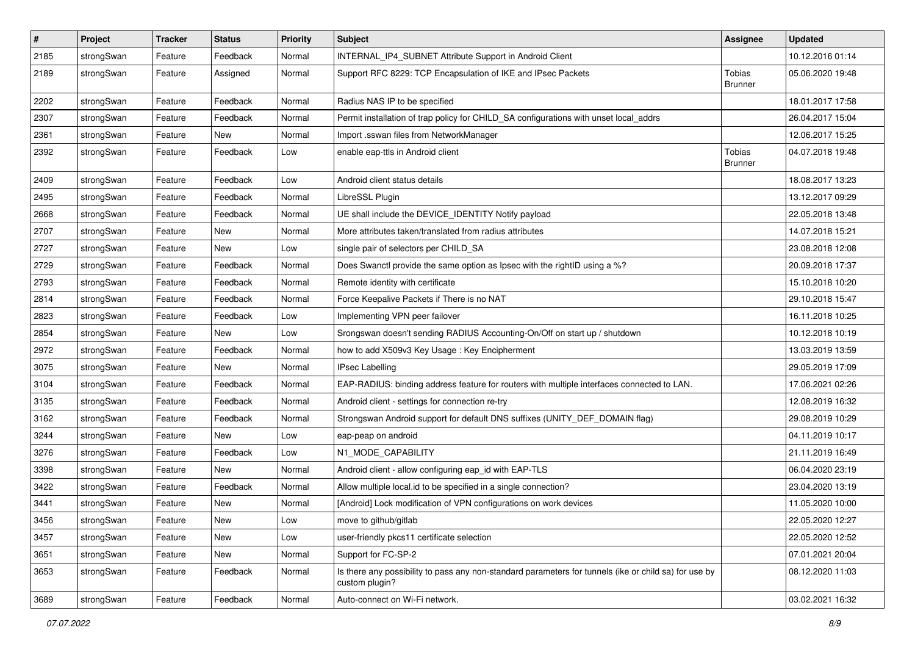| $\vert$ # | Project    | <b>Tracker</b> | <b>Status</b> | <b>Priority</b> | <b>Subject</b>                                                                                                          | <b>Assignee</b>          | <b>Updated</b>   |
|-----------|------------|----------------|---------------|-----------------|-------------------------------------------------------------------------------------------------------------------------|--------------------------|------------------|
| 2185      | strongSwan | Feature        | Feedback      | Normal          | INTERNAL_IP4_SUBNET Attribute Support in Android Client                                                                 |                          | 10.12.2016 01:14 |
| 2189      | strongSwan | Feature        | Assigned      | Normal          | Support RFC 8229: TCP Encapsulation of IKE and IPsec Packets                                                            | Tobias<br><b>Brunner</b> | 05.06.2020 19:48 |
| 2202      | strongSwan | Feature        | Feedback      | Normal          | Radius NAS IP to be specified                                                                                           |                          | 18.01.2017 17:58 |
| 2307      | strongSwan | Feature        | Feedback      | Normal          | Permit installation of trap policy for CHILD_SA configurations with unset local_addrs                                   |                          | 26.04.2017 15:04 |
| 2361      | strongSwan | Feature        | New           | Normal          | Import .sswan files from NetworkManager                                                                                 |                          | 12.06.2017 15:25 |
| 2392      | strongSwan | Feature        | Feedback      | Low             | enable eap-ttls in Android client                                                                                       | Tobias<br><b>Brunner</b> | 04.07.2018 19:48 |
| 2409      | strongSwan | Feature        | Feedback      | Low             | Android client status details                                                                                           |                          | 18.08.2017 13:23 |
| 2495      | strongSwan | Feature        | Feedback      | Normal          | LibreSSL Plugin                                                                                                         |                          | 13.12.2017 09:29 |
| 2668      | strongSwan | Feature        | Feedback      | Normal          | UE shall include the DEVICE_IDENTITY Notify payload                                                                     |                          | 22.05.2018 13:48 |
| 2707      | strongSwan | Feature        | New           | Normal          | More attributes taken/translated from radius attributes                                                                 |                          | 14.07.2018 15:21 |
| 2727      | strongSwan | Feature        | New           | Low             | single pair of selectors per CHILD_SA                                                                                   |                          | 23.08.2018 12:08 |
| 2729      | strongSwan | Feature        | Feedback      | Normal          | Does Swanctl provide the same option as Ipsec with the rightID using a %?                                               |                          | 20.09.2018 17:37 |
| 2793      | strongSwan | Feature        | Feedback      | Normal          | Remote identity with certificate                                                                                        |                          | 15.10.2018 10:20 |
| 2814      | strongSwan | Feature        | Feedback      | Normal          | Force Keepalive Packets if There is no NAT                                                                              |                          | 29.10.2018 15:47 |
| 2823      | strongSwan | Feature        | Feedback      | Low             | Implementing VPN peer failover                                                                                          |                          | 16.11.2018 10:25 |
| 2854      | strongSwan | Feature        | New           | Low             | Srongswan doesn't sending RADIUS Accounting-On/Off on start up / shutdown                                               |                          | 10.12.2018 10:19 |
| 2972      | strongSwan | Feature        | Feedback      | Normal          | how to add X509v3 Key Usage: Key Encipherment                                                                           |                          | 13.03.2019 13:59 |
| 3075      | strongSwan | Feature        | New           | Normal          | <b>IPsec Labelling</b>                                                                                                  |                          | 29.05.2019 17:09 |
| 3104      | strongSwan | Feature        | Feedback      | Normal          | EAP-RADIUS: binding address feature for routers with multiple interfaces connected to LAN.                              |                          | 17.06.2021 02:26 |
| 3135      | strongSwan | Feature        | Feedback      | Normal          | Android client - settings for connection re-try                                                                         |                          | 12.08.2019 16:32 |
| 3162      | strongSwan | Feature        | Feedback      | Normal          | Strongswan Android support for default DNS suffixes (UNITY_DEF_DOMAIN flag)                                             |                          | 29.08.2019 10:29 |
| 3244      | strongSwan | Feature        | New           | Low             | eap-peap on android                                                                                                     |                          | 04.11.2019 10:17 |
| 3276      | strongSwan | Feature        | Feedback      | Low             | N1_MODE_CAPABILITY                                                                                                      |                          | 21.11.2019 16:49 |
| 3398      | strongSwan | Feature        | New           | Normal          | Android client - allow configuring eap_id with EAP-TLS                                                                  |                          | 06.04.2020 23:19 |
| 3422      | strongSwan | Feature        | Feedback      | Normal          | Allow multiple local.id to be specified in a single connection?                                                         |                          | 23.04.2020 13:19 |
| 3441      | strongSwan | Feature        | New           | Normal          | [Android] Lock modification of VPN configurations on work devices                                                       |                          | 11.05.2020 10:00 |
| 3456      | strongSwan | Feature        | New           | Low             | move to github/gitlab                                                                                                   |                          | 22.05.2020 12:27 |
| 3457      | strongSwan | Feature        | New           | Low             | user-friendly pkcs11 certificate selection                                                                              |                          | 22.05.2020 12:52 |
| 3651      | strongSwan | Feature        | New           | Normal          | Support for FC-SP-2                                                                                                     |                          | 07.01.2021 20:04 |
| 3653      | strongSwan | Feature        | Feedback      | Normal          | Is there any possibility to pass any non-standard parameters for tunnels (ike or child sa) for use by<br>custom plugin? |                          | 08.12.2020 11:03 |
| 3689      | strongSwan | Feature        | Feedback      | Normal          | Auto-connect on Wi-Fi network.                                                                                          |                          | 03.02.2021 16:32 |